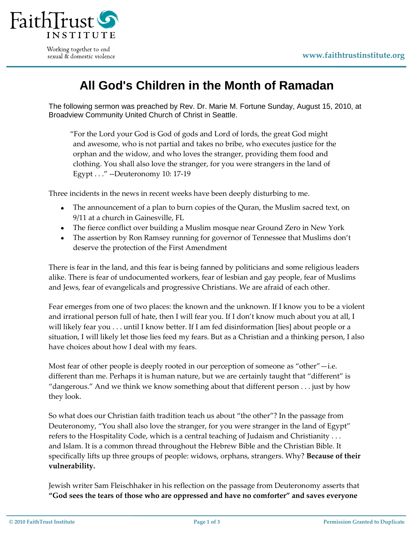

Working together to end sexual & domestic violence

## **All God's Children in the Month of Ramadan**

The following sermon was preached by Rev. Dr. Marie M. Fortune Sunday, August 15, 2010, at Broadview Community United Church of Christ in Seattle.

"For the Lord your God is God of gods and Lord of lords, the great God might and awesome, who is not partial and takes no bribe, who executes justice for the orphan and the widow, and who loves the stranger, providing them food and clothing. You shall also love the stranger, for you were strangers in the land of Egypt . . ." --Deuteronomy 10: 17-19

Three incidents in the news in recent weeks have been deeply disturbing to me.

- The announcement of a plan to burn copies of the Quran, the Muslim sacred text, on 9/11 at a church in Gainesville, FL
- The fierce conflict over building a Muslim mosque near Ground Zero in New York
- The assertion by Ron Ramsey running for governor of Tennessee that Muslims don't deserve the protection of the First Amendment

There is fear in the land, and this fear is being fanned by politicians and some religious leaders alike. There is fear of undocumented workers, fear of lesbian and gay people, fear of Muslims and Jews, fear of evangelicals and progressive Christians. We are afraid of each other.

Fear emerges from one of two places: the known and the unknown. If I know you to be a violent and irrational person full of hate, then I will fear you. If I don't know much about you at all, I will likely fear you . . . until I know better. If I am fed disinformation [lies] about people or a situation, I will likely let those lies feed my fears. But as a Christian and a thinking person, I also have choices about how I deal with my fears.

Most fear of other people is deeply rooted in our perception of someone as "other"—i.e. different than me. Perhaps it is human nature, but we are certainly taught that "different" is "dangerous." And we think we know something about that different person . . . just by how they look.

So what does our Christian faith tradition teach us about "the other"? In the passage from Deuteronomy, "You shall also love the stranger, for you were stranger in the land of Egypt" refers to the Hospitality Code, which is a central teaching of Judaism and Christianity . . . and Islam. It is a common thread throughout the Hebrew Bible and the Christian Bible. It specifically lifts up three groups of people: widows, orphans, strangers. Why? **Because of their vulnerability.**

Jewish writer Sam Fleischhaker in his reflection on the passage from Deuteronomy asserts that **"God sees the tears of those who are oppressed and have no comforter" and saves everyone**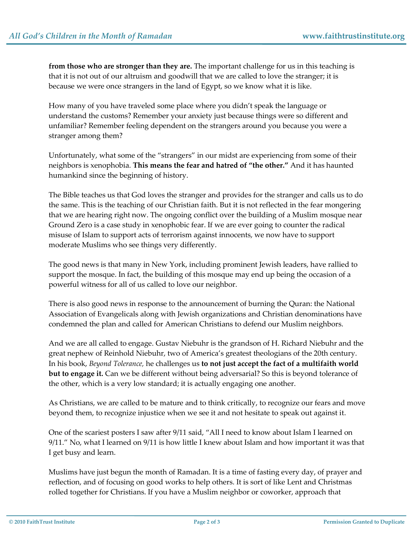**from those who are stronger than they are.** The important challenge for us in this teaching is that it is not out of our altruism and goodwill that we are called to love the stranger; it is because we were once strangers in the land of Egypt, so we know what it is like.

How many of you have traveled some place where you didn't speak the language or understand the customs? Remember your anxiety just because things were so different and unfamiliar? Remember feeling dependent on the strangers around you because you were a stranger among them?

Unfortunately, what some of the "strangers" in our midst are experiencing from some of their neighbors is xenophobia. **This means the fear and hatred of "the other."** And it has haunted humankind since the beginning of history.

The Bible teaches us that God loves the stranger and provides for the stranger and calls us to do the same. This is the teaching of our Christian faith. But it is not reflected in the fear mongering that we are hearing right now. The ongoing conflict over the building of a Muslim mosque near Ground Zero is a case study in xenophobic fear. If we are ever going to counter the radical misuse of Islam to support acts of terrorism against innocents, we now have to support moderate Muslims who see things very differently.

The good news is that many in New York, including prominent Jewish leaders, have rallied to support the mosque. In fact, the building of this mosque may end up being the occasion of a powerful witness for all of us called to love our neighbor.

There is also good news in response to the announcement of burning the Quran: the National Association of Evangelicals along with Jewish organizations and Christian denominations have condemned the plan and called for American Christians to defend our Muslim neighbors.

And we are all called to engage. Gustav Niebuhr is the grandson of H. Richard Niebuhr and the great nephew of Reinhold Niebuhr, two of America's greatest theologians of the 20th century. In his book, *Beyond Tolerance,* he challenges us **to not just accept the fact of a multifaith world but to engage it.** Can we be different without being adversarial? So this is beyond tolerance of the other, which is a very low standard; it is actually engaging one another.

As Christians, we are called to be mature and to think critically, to recognize our fears and move beyond them, to recognize injustice when we see it and not hesitate to speak out against it.

One of the scariest posters I saw after 9/11 said, "All I need to know about Islam I learned on 9/11." No, what I learned on 9/11 is how little I knew about Islam and how important it was that I get busy and learn.

Muslims have just begun the month of Ramadan. It is a time of fasting every day, of prayer and reflection, and of focusing on good works to help others. It is sort of like Lent and Christmas rolled together for Christians. If you have a Muslim neighbor or coworker, approach that